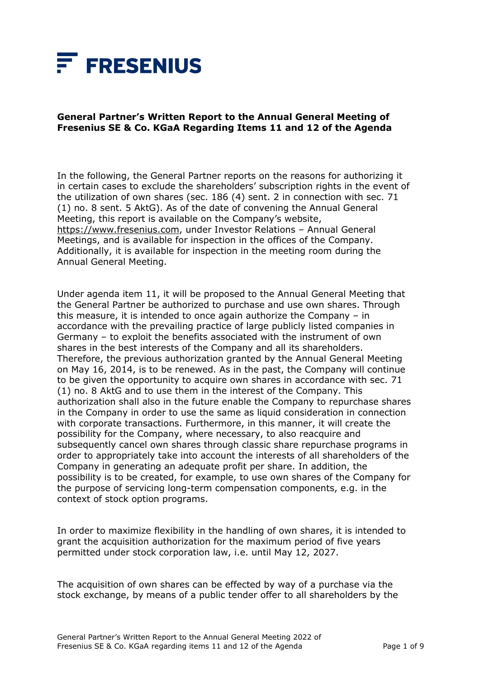

## **General Partner's Written Report to the Annual General Meeting of Fresenius SE & Co. KGaA Regarding Items 11 and 12 of the Agenda**

In the following, the General Partner reports on the reasons for authorizing it in certain cases to exclude the shareholders' subscription rights in the event of the utilization of own shares (sec. 186 (4) sent. 2 in connection with sec. 71 (1) no. 8 sent. 5 AktG). As of the date of convening the Annual General Meeting, this report is available on the Company's website, [https://www.fresenius.com,](https://www.fresenius.com/) under Investor Relations – Annual General Meetings, and is available for inspection in the offices of the Company. Additionally, it is available for inspection in the meeting room during the Annual General Meeting.

Under agenda item 11, it will be proposed to the Annual General Meeting that the General Partner be authorized to purchase and use own shares. Through this measure, it is intended to once again authorize the Company – in accordance with the prevailing practice of large publicly listed companies in Germany – to exploit the benefits associated with the instrument of own shares in the best interests of the Company and all its shareholders. Therefore, the previous authorization granted by the Annual General Meeting on May 16, 2014, is to be renewed. As in the past, the Company will continue to be given the opportunity to acquire own shares in accordance with sec. 71 (1) no. 8 AktG and to use them in the interest of the Company. This authorization shall also in the future enable the Company to repurchase shares in the Company in order to use the same as liquid consideration in connection with corporate transactions. Furthermore, in this manner, it will create the possibility for the Company, where necessary, to also reacquire and subsequently cancel own shares through classic share repurchase programs in order to appropriately take into account the interests of all shareholders of the Company in generating an adequate profit per share. In addition, the possibility is to be created, for example, to use own shares of the Company for the purpose of servicing long-term compensation components, e.g. in the context of stock option programs.

In order to maximize flexibility in the handling of own shares, it is intended to grant the acquisition authorization for the maximum period of five years permitted under stock corporation law, i.e. until May 12, 2027.

The acquisition of own shares can be effected by way of a purchase via the stock exchange, by means of a public tender offer to all shareholders by the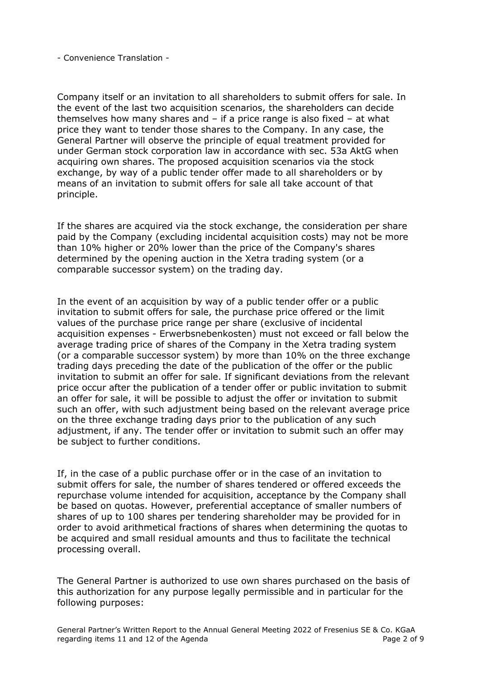Company itself or an invitation to all shareholders to submit offers for sale. In the event of the last two acquisition scenarios, the shareholders can decide themselves how many shares and  $-$  if a price range is also fixed  $-$  at what price they want to tender those shares to the Company. In any case, the General Partner will observe the principle of equal treatment provided for under German stock corporation law in accordance with sec. 53a AktG when acquiring own shares. The proposed acquisition scenarios via the stock exchange, by way of a public tender offer made to all shareholders or by means of an invitation to submit offers for sale all take account of that principle.

If the shares are acquired via the stock exchange, the consideration per share paid by the Company (excluding incidental acquisition costs) may not be more than 10% higher or 20% lower than the price of the Company's shares determined by the opening auction in the Xetra trading system (or a comparable successor system) on the trading day.

In the event of an acquisition by way of a public tender offer or a public invitation to submit offers for sale, the purchase price offered or the limit values of the purchase price range per share (exclusive of incidental acquisition expenses - Erwerbsnebenkosten) must not exceed or fall below the average trading price of shares of the Company in the Xetra trading system (or a comparable successor system) by more than 10% on the three exchange trading days preceding the date of the publication of the offer or the public invitation to submit an offer for sale. If significant deviations from the relevant price occur after the publication of a tender offer or public invitation to submit an offer for sale, it will be possible to adjust the offer or invitation to submit such an offer, with such adjustment being based on the relevant average price on the three exchange trading days prior to the publication of any such adjustment, if any. The tender offer or invitation to submit such an offer may be subject to further conditions.

If, in the case of a public purchase offer or in the case of an invitation to submit offers for sale, the number of shares tendered or offered exceeds the repurchase volume intended for acquisition, acceptance by the Company shall be based on quotas. However, preferential acceptance of smaller numbers of shares of up to 100 shares per tendering shareholder may be provided for in order to avoid arithmetical fractions of shares when determining the quotas to be acquired and small residual amounts and thus to facilitate the technical processing overall.

The General Partner is authorized to use own shares purchased on the basis of this authorization for any purpose legally permissible and in particular for the following purposes: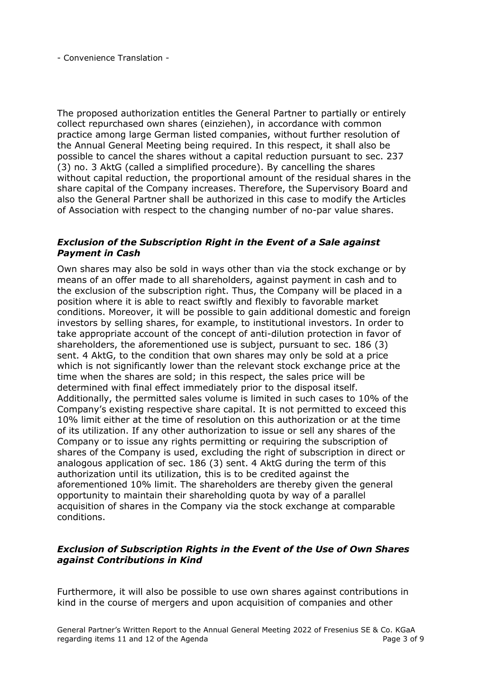The proposed authorization entitles the General Partner to partially or entirely collect repurchased own shares (einziehen), in accordance with common practice among large German listed companies, without further resolution of the Annual General Meeting being required. In this respect, it shall also be possible to cancel the shares without a capital reduction pursuant to sec. 237 (3) no. 3 AktG (called a simplified procedure). By cancelling the shares without capital reduction, the proportional amount of the residual shares in the share capital of the Company increases. Therefore, the Supervisory Board and also the General Partner shall be authorized in this case to modify the Articles of Association with respect to the changing number of no-par value shares.

## *Exclusion of the Subscription Right in the Event of a Sale against Payment in Cash*

Own shares may also be sold in ways other than via the stock exchange or by means of an offer made to all shareholders, against payment in cash and to the exclusion of the subscription right. Thus, the Company will be placed in a position where it is able to react swiftly and flexibly to favorable market conditions. Moreover, it will be possible to gain additional domestic and foreign investors by selling shares, for example, to institutional investors. In order to take appropriate account of the concept of anti-dilution protection in favor of shareholders, the aforementioned use is subject, pursuant to sec. 186 (3) sent. 4 AktG, to the condition that own shares may only be sold at a price which is not significantly lower than the relevant stock exchange price at the time when the shares are sold; in this respect, the sales price will be determined with final effect immediately prior to the disposal itself. Additionally, the permitted sales volume is limited in such cases to 10% of the Company's existing respective share capital. It is not permitted to exceed this 10% limit either at the time of resolution on this authorization or at the time of its utilization. If any other authorization to issue or sell any shares of the Company or to issue any rights permitting or requiring the subscription of shares of the Company is used, excluding the right of subscription in direct or analogous application of sec. 186 (3) sent. 4 AktG during the term of this authorization until its utilization, this is to be credited against the aforementioned 10% limit. The shareholders are thereby given the general opportunity to maintain their shareholding quota by way of a parallel acquisition of shares in the Company via the stock exchange at comparable conditions.

## *Exclusion of Subscription Rights in the Event of the Use of Own Shares against Contributions in Kind*

Furthermore, it will also be possible to use own shares against contributions in kind in the course of mergers and upon acquisition of companies and other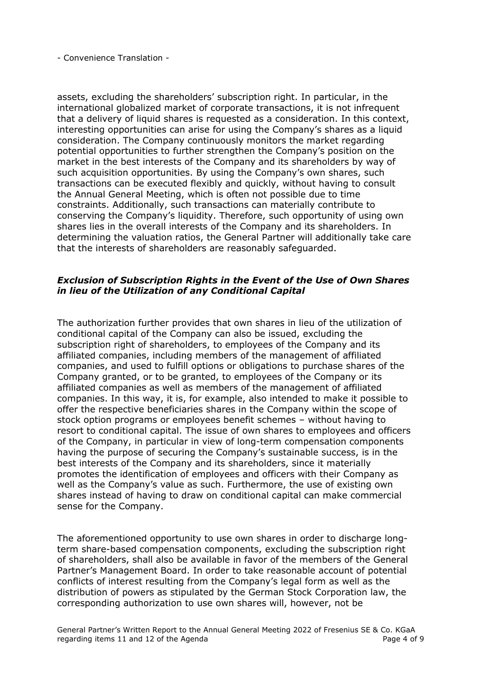assets, excluding the shareholders' subscription right. In particular, in the international globalized market of corporate transactions, it is not infrequent that a delivery of liquid shares is requested as a consideration. In this context, interesting opportunities can arise for using the Company's shares as a liquid consideration. The Company continuously monitors the market regarding potential opportunities to further strengthen the Company's position on the market in the best interests of the Company and its shareholders by way of such acquisition opportunities. By using the Company's own shares, such transactions can be executed flexibly and quickly, without having to consult the Annual General Meeting, which is often not possible due to time constraints. Additionally, such transactions can materially contribute to conserving the Company's liquidity. Therefore, such opportunity of using own shares lies in the overall interests of the Company and its shareholders. In determining the valuation ratios, the General Partner will additionally take care that the interests of shareholders are reasonably safeguarded.

## *Exclusion of Subscription Rights in the Event of the Use of Own Shares in lieu of the Utilization of any Conditional Capital*

The authorization further provides that own shares in lieu of the utilization of conditional capital of the Company can also be issued, excluding the subscription right of shareholders, to employees of the Company and its affiliated companies, including members of the management of affiliated companies, and used to fulfill options or obligations to purchase shares of the Company granted, or to be granted, to employees of the Company or its affiliated companies as well as members of the management of affiliated companies. In this way, it is, for example, also intended to make it possible to offer the respective beneficiaries shares in the Company within the scope of stock option programs or employees benefit schemes – without having to resort to conditional capital. The issue of own shares to employees and officers of the Company, in particular in view of long-term compensation components having the purpose of securing the Company's sustainable success, is in the best interests of the Company and its shareholders, since it materially promotes the identification of employees and officers with their Company as well as the Company's value as such. Furthermore, the use of existing own shares instead of having to draw on conditional capital can make commercial sense for the Company.

The aforementioned opportunity to use own shares in order to discharge longterm share-based compensation components, excluding the subscription right of shareholders, shall also be available in favor of the members of the General Partner's Management Board. In order to take reasonable account of potential conflicts of interest resulting from the Company's legal form as well as the distribution of powers as stipulated by the German Stock Corporation law, the corresponding authorization to use own shares will, however, not be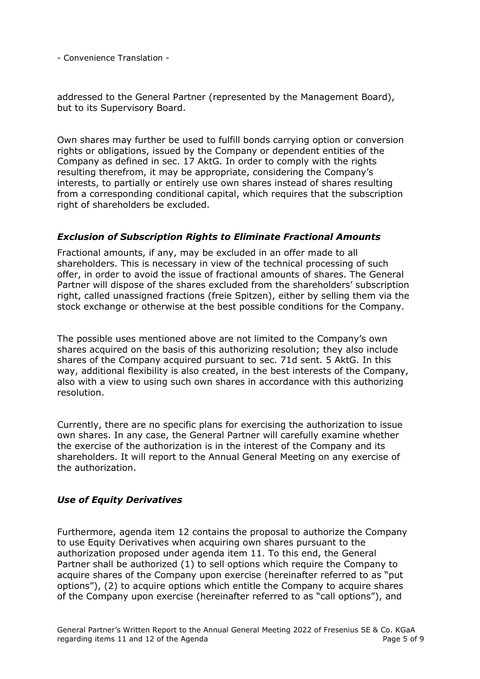addressed to the General Partner (represented by the Management Board), but to its Supervisory Board.

Own shares may further be used to fulfill bonds carrying option or conversion rights or obligations, issued by the Company or dependent entities of the Company as defined in sec. 17 AktG. In order to comply with the rights resulting therefrom, it may be appropriate, considering the Company's interests, to partially or entirely use own shares instead of shares resulting from a corresponding conditional capital, which requires that the subscription right of shareholders be excluded.

## *Exclusion of Subscription Rights to Eliminate Fractional Amounts*

Fractional amounts, if any, may be excluded in an offer made to all shareholders. This is necessary in view of the technical processing of such offer, in order to avoid the issue of fractional amounts of shares. The General Partner will dispose of the shares excluded from the shareholders' subscription right, called unassigned fractions (freie Spitzen), either by selling them via the stock exchange or otherwise at the best possible conditions for the Company.

The possible uses mentioned above are not limited to the Company's own shares acquired on the basis of this authorizing resolution; they also include shares of the Company acquired pursuant to sec. 71d sent. 5 AktG. In this way, additional flexibility is also created, in the best interests of the Company, also with a view to using such own shares in accordance with this authorizing resolution.

Currently, there are no specific plans for exercising the authorization to issue own shares. In any case, the General Partner will carefully examine whether the exercise of the authorization is in the interest of the Company and its shareholders. It will report to the Annual General Meeting on any exercise of the authorization.

# *Use of Equity Derivatives*

Furthermore, agenda item 12 contains the proposal to authorize the Company to use Equity Derivatives when acquiring own shares pursuant to the authorization proposed under agenda item 11. To this end, the General Partner shall be authorized (1) to sell options which require the Company to acquire shares of the Company upon exercise (hereinafter referred to as "put options"), (2) to acquire options which entitle the Company to acquire shares of the Company upon exercise (hereinafter referred to as "call options"), and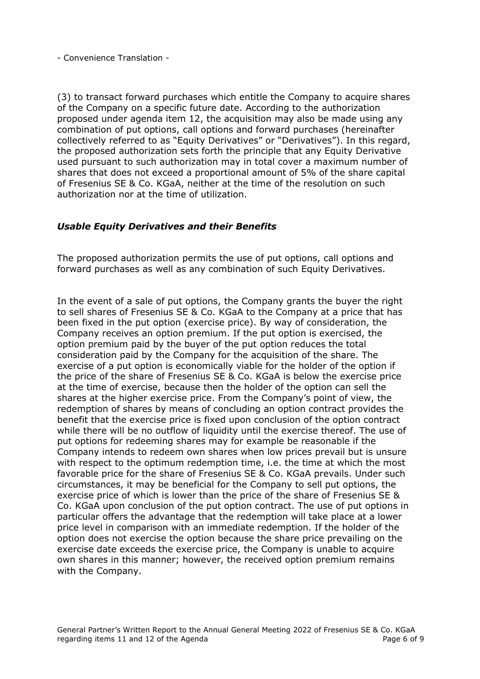(3) to transact forward purchases which entitle the Company to acquire shares of the Company on a specific future date. According to the authorization proposed under agenda item 12, the acquisition may also be made using any combination of put options, call options and forward purchases (hereinafter collectively referred to as "Equity Derivatives" or "Derivatives"). In this regard, the proposed authorization sets forth the principle that any Equity Derivative used pursuant to such authorization may in total cover a maximum number of shares that does not exceed a proportional amount of 5% of the share capital of Fresenius SE & Co. KGaA, neither at the time of the resolution on such authorization nor at the time of utilization.

## *Usable Equity Derivatives and their Benefits*

The proposed authorization permits the use of put options, call options and forward purchases as well as any combination of such Equity Derivatives.

In the event of a sale of put options, the Company grants the buyer the right to sell shares of Fresenius SE & Co. KGaA to the Company at a price that has been fixed in the put option (exercise price). By way of consideration, the Company receives an option premium. If the put option is exercised, the option premium paid by the buyer of the put option reduces the total consideration paid by the Company for the acquisition of the share. The exercise of a put option is economically viable for the holder of the option if the price of the share of Fresenius SE & Co. KGaA is below the exercise price at the time of exercise, because then the holder of the option can sell the shares at the higher exercise price. From the Company's point of view, the redemption of shares by means of concluding an option contract provides the benefit that the exercise price is fixed upon conclusion of the option contract while there will be no outflow of liquidity until the exercise thereof. The use of put options for redeeming shares may for example be reasonable if the Company intends to redeem own shares when low prices prevail but is unsure with respect to the optimum redemption time, i.e. the time at which the most favorable price for the share of Fresenius SE & Co. KGaA prevails. Under such circumstances, it may be beneficial for the Company to sell put options, the exercise price of which is lower than the price of the share of Fresenius SE & Co. KGaA upon conclusion of the put option contract. The use of put options in particular offers the advantage that the redemption will take place at a lower price level in comparison with an immediate redemption. If the holder of the option does not exercise the option because the share price prevailing on the exercise date exceeds the exercise price, the Company is unable to acquire own shares in this manner; however, the received option premium remains with the Company.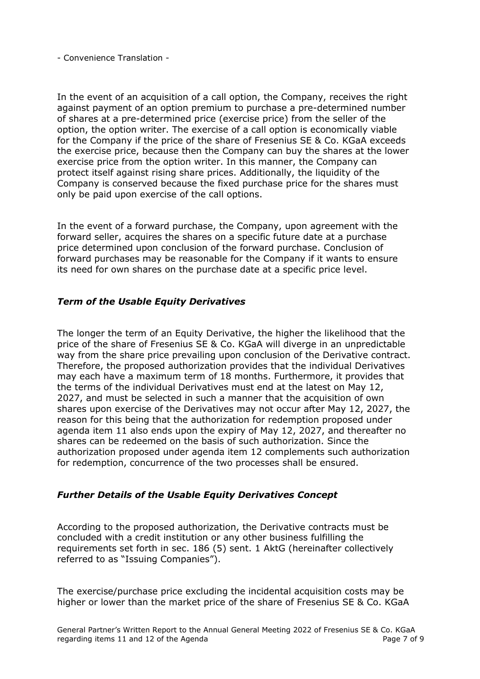In the event of an acquisition of a call option, the Company, receives the right against payment of an option premium to purchase a pre-determined number of shares at a pre-determined price (exercise price) from the seller of the option, the option writer. The exercise of a call option is economically viable for the Company if the price of the share of Fresenius SE & Co. KGaA exceeds the exercise price, because then the Company can buy the shares at the lower exercise price from the option writer. In this manner, the Company can protect itself against rising share prices. Additionally, the liquidity of the Company is conserved because the fixed purchase price for the shares must only be paid upon exercise of the call options.

In the event of a forward purchase, the Company, upon agreement with the forward seller, acquires the shares on a specific future date at a purchase price determined upon conclusion of the forward purchase. Conclusion of forward purchases may be reasonable for the Company if it wants to ensure its need for own shares on the purchase date at a specific price level.

## *Term of the Usable Equity Derivatives*

The longer the term of an Equity Derivative, the higher the likelihood that the price of the share of Fresenius SE & Co. KGaA will diverge in an unpredictable way from the share price prevailing upon conclusion of the Derivative contract. Therefore, the proposed authorization provides that the individual Derivatives may each have a maximum term of 18 months. Furthermore, it provides that the terms of the individual Derivatives must end at the latest on May 12, 2027, and must be selected in such a manner that the acquisition of own shares upon exercise of the Derivatives may not occur after May 12, 2027, the reason for this being that the authorization for redemption proposed under agenda item 11 also ends upon the expiry of May 12, 2027, and thereafter no shares can be redeemed on the basis of such authorization. Since the authorization proposed under agenda item 12 complements such authorization for redemption, concurrence of the two processes shall be ensured.

## *Further Details of the Usable Equity Derivatives Concept*

According to the proposed authorization, the Derivative contracts must be concluded with a credit institution or any other business fulfilling the requirements set forth in sec. 186 (5) sent. 1 AktG (hereinafter collectively referred to as "Issuing Companies").

The exercise/purchase price excluding the incidental acquisition costs may be higher or lower than the market price of the share of Fresenius SE & Co. KGaA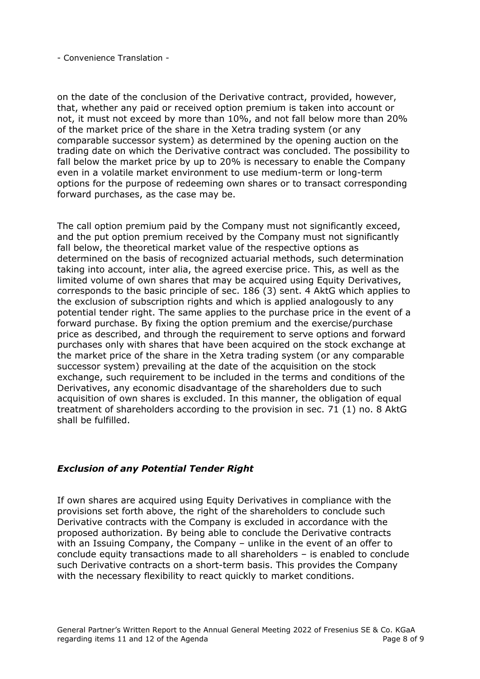on the date of the conclusion of the Derivative contract, provided, however, that, whether any paid or received option premium is taken into account or not, it must not exceed by more than 10%, and not fall below more than 20% of the market price of the share in the Xetra trading system (or any comparable successor system) as determined by the opening auction on the trading date on which the Derivative contract was concluded. The possibility to fall below the market price by up to 20% is necessary to enable the Company even in a volatile market environment to use medium-term or long-term options for the purpose of redeeming own shares or to transact corresponding forward purchases, as the case may be.

The call option premium paid by the Company must not significantly exceed, and the put option premium received by the Company must not significantly fall below, the theoretical market value of the respective options as determined on the basis of recognized actuarial methods, such determination taking into account, inter alia, the agreed exercise price. This, as well as the limited volume of own shares that may be acquired using Equity Derivatives, corresponds to the basic principle of sec. 186 (3) sent. 4 AktG which applies to the exclusion of subscription rights and which is applied analogously to any potential tender right. The same applies to the purchase price in the event of a forward purchase. By fixing the option premium and the exercise/purchase price as described, and through the requirement to serve options and forward purchases only with shares that have been acquired on the stock exchange at the market price of the share in the Xetra trading system (or any comparable successor system) prevailing at the date of the acquisition on the stock exchange, such requirement to be included in the terms and conditions of the Derivatives, any economic disadvantage of the shareholders due to such acquisition of own shares is excluded. In this manner, the obligation of equal treatment of shareholders according to the provision in sec. 71 (1) no. 8 AktG shall be fulfilled.

## *Exclusion of any Potential Tender Right*

If own shares are acquired using Equity Derivatives in compliance with the provisions set forth above, the right of the shareholders to conclude such Derivative contracts with the Company is excluded in accordance with the proposed authorization. By being able to conclude the Derivative contracts with an Issuing Company, the Company – unlike in the event of an offer to conclude equity transactions made to all shareholders – is enabled to conclude such Derivative contracts on a short-term basis. This provides the Company with the necessary flexibility to react quickly to market conditions.